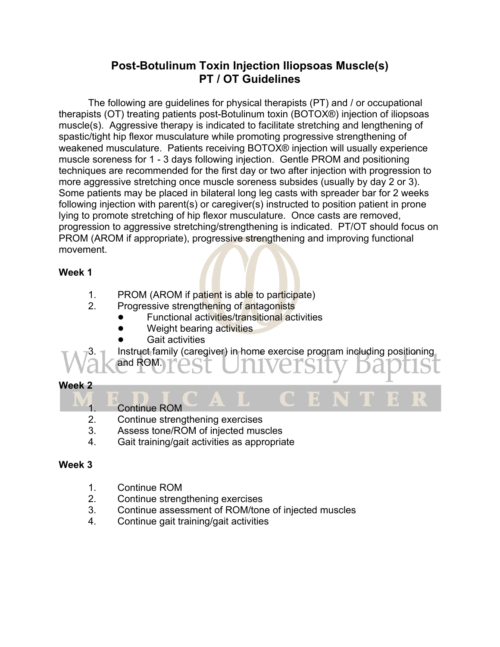# **Post-Botulinum Toxin Injection Iliopsoas Muscle(s) PT / OT Guidelines**

The following are guidelines for physical therapists (PT) and / or occupational therapists (OT) treating patients post-Botulinum toxin (BOTOX®) injection of iliopsoas muscle(s). Aggressive therapy is indicated to facilitate stretching and lengthening of spastic/tight hip flexor musculature while promoting progressive strengthening of weakened musculature. Patients receiving BOTOX® injection will usually experience muscle soreness for 1 - 3 days following injection. Gentle PROM and positioning techniques are recommended for the first day or two after injection with progression to more aggressive stretching once muscle soreness subsides (usually by day 2 or 3). Some patients may be placed in bilateral long leg casts with spreader bar for 2 weeks following injection with parent(s) or caregiver(s) instructed to position patient in prone lying to promote stretching of hip flexor musculature. Once casts are removed, progression to aggressive stretching/strengthening is indicated. PT/OT should focus on PROM (AROM if appropriate), progressive strengthening and improving functional movement.

## **Week 1**

- 1. PROM (AROM if patient is able to participate)
- 2. Progressive strengthening of antagonists
	- ! Functional activities/transitional activities
	- Weight bearing activities
	- **Gait activities**
	- Instruct family (caregiver) in home exercise program including positioning

## **Week 2**

1. Continue ROM

and ROM.

- 2. Continue strengthening exercises
- 3. Assess tone/ROM of injected muscles
- 4. Gait training/gait activities as appropriate

## **Week 3**

- 1. Continue ROM
- 2. Continue strengthening exercises
- 3. Continue assessment of ROM/tone of injected muscles
- 4. Continue gait training/gait activities